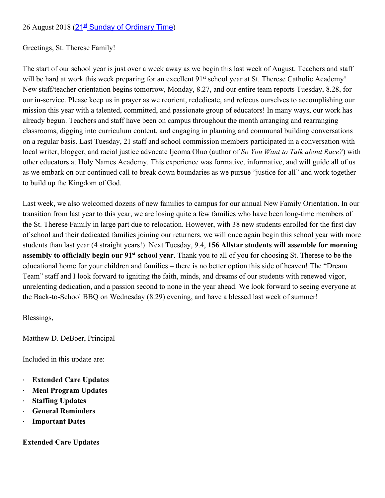### 26 August 2018 ([21](http://faith.nd.edu/s/1210/faith/pray.aspx?sid=1210&gid=609&sitebuilder=1&pgid=10745)<sup>[st](http://faith.nd.edu/s/1210/faith/pray.aspx?sid=1210&gid=609&sitebuilder=1&pgid=10745)</sup> [Sunday of Ordinary Time](http://faith.nd.edu/s/1210/faith/pray.aspx?sid=1210&gid=609&sitebuilder=1&pgid=10745))

Greetings, St. Therese Family!

The start of our school year is just over a week away as we begin this last week of August. Teachers and staff will be hard at work this week preparing for an excellent 91<sup>st</sup> school year at St. Therese Catholic Academy! New staff/teacher orientation begins tomorrow, Monday, 8.27, and our entire team reports Tuesday, 8.28, for our in-service. Please keep us in prayer as we reorient, rededicate, and refocus ourselves to accomplishing our mission this year with a talented, committed, and passionate group of educators! In many ways, our work has already begun. Teachers and staff have been on campus throughout the month arranging and rearranging classrooms, digging into curriculum content, and engaging in planning and communal building conversations on a regular basis. Last Tuesday, 21 staff and school commission members participated in a conversation with local writer, blogger, and racial justice advocate Ijeoma Oluo (author of *So You Want to Talk about Race?*) with other educators at Holy Names Academy. This experience was formative, informative, and will guide all of us as we embark on our continued call to break down boundaries as we pursue "justice for all" and work together to build up the Kingdom of God.

Last week, we also welcomed dozens of new families to campus for our annual New Family Orientation. In our transition from last year to this year, we are losing quite a few families who have been long-time members of the St. Therese Family in large part due to relocation. However, with 38 new students enrolled for the first day of school and their dedicated families joining our returners, we will once again begin this school year with more students than last year (4 straight years!). Next Tuesday, 9.4, **156 Allstar students will assemble for morning assembly to officially begin our 91<sup>st</sup> school year**. Thank you to all of you for choosing St. Therese to be the educational home for your children and families – there is no better option this side of heaven! The "Dream Team" staff and I look forward to igniting the faith, minds, and dreams of our students with renewed vigor, unrelenting dedication, and a passion second to none in the year ahead. We look forward to seeing everyone at the Back-to-School BBQ on Wednesday (8.29) evening, and have a blessed last week of summer!

Blessings,

Matthew D. DeBoer, Principal

Included in this update are:

- · **Extended Care Updates**
- · **Meal Program Updates**
- · **Staffing Updates**
- · **General Reminders**
- **Important Dates**

**Extended Care Updates**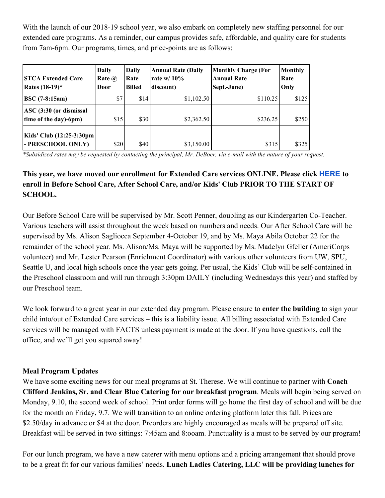With the launch of our 2018-19 school year, we also embark on completely new staffing personnel for our extended care programs. As a reminder, our campus provides safe, affordable, and quality care for students from 7am-6pm. Our programs, times, and price-points are as follows:

| <b>STCA Extended Care</b><br><b>Rates</b> $(18-19)^{*}$     | Daily<br>Rate $\omega$<br>Door | Daily<br>Rate<br><b>Billed</b> | <b>Annual Rate (Daily</b><br>rate w/ $10\%$<br>discount) | <b>Monthly Charge (For</b><br><b>Annual Rate</b><br>Sept.-June) | <b>Monthly</b><br>Rate<br>Only |
|-------------------------------------------------------------|--------------------------------|--------------------------------|----------------------------------------------------------|-----------------------------------------------------------------|--------------------------------|
| <b>BSC</b> (7-8:15am)                                       | \$7                            | \$14                           | \$1,102.50                                               | \$110.25                                                        | \$125                          |
| $ {\rm ASC}\,(3:30)$ (or dismissal<br>time of the day)-6pm) | \$15                           | \$30                           | \$2,362.50                                               | \$236.25                                                        | \$250                          |
| Kids' Club (12:25-3:30pm<br>- PRESCHOOL ONLY)               | \$20                           | \$40                           | \$3,150.00                                               | \$315                                                           | \$325                          |

\*Subsidized rates may be requested by contacting the principal, Mr. DeBoer, via e-mail with the nature of your request.

## **This year, we have moved our enrollment for Extended Care services ONLINE. Please click [HERE](https://docs.google.com/forms/d/e/1FAIpQLSetezh086aUZC4G2q01VY7qIsIxNDhC12huqNtbelrXxZ8JsQ/viewform?usp=sf_link) to enroll in Before School Care, After School Care, and/or Kids' Club PRIOR TO THE START OF SCHOOL.**

Our Before School Care will be supervised by Mr. Scott Penner, doubling as our Kindergarten Co-Teacher. Various teachers will assist throughout the week based on numbers and needs. Our After School Care will be supervised by Ms. Alison Sagliocca September 4-October 19, and by Ms. Maya Abila October 22 for the remainder of the school year. Ms. Alison/Ms. Maya will be supported by Ms. Madelyn Gfeller (AmeriCorps volunteer) and Mr. Lester Pearson (Enrichment Coordinator) with various other volunteers from UW, SPU, Seattle U, and local high schools once the year gets going. Per usual, the Kids' Club will be self-contained in the Preschool classroom and will run through 3:30pm DAILY (including Wednesdays this year) and staffed by our Preschool team.

We look forward to a great year in our extended day program. Please ensure to **enter the building** to sign your child into/out of Extended Care services – this is a liability issue. All billing associated with Extended Care services will be managed with FACTS unless payment is made at the door. If you have questions, call the office, and we'll get you squared away!

## **Meal Program Updates**

We have some exciting news for our meal programs at St. Therese. We will continue to partner with **Coach Clifford Jenkins, Sr. and Clear Blue Catering for our breakfast program**. Meals will begin being served on Monday, 9.10, the second week of school. Print order forms will go home the first day of school and will be due for the month on Friday, 9.7. We will transition to an online ordering platform later this fall. Prices are \$2.50/day in advance or \$4 at the door. Preorders are highly encouraged as meals will be prepared off site. Breakfast will be served in two sittings: 7:45am and 8:ooam. Punctuality is a must to be served by our program!

For our lunch program, we have a new caterer with menu options and a pricing arrangement that should prove to be a great fit for our various families' needs. **Lunch Ladies Catering, LLC will be providing lunches for**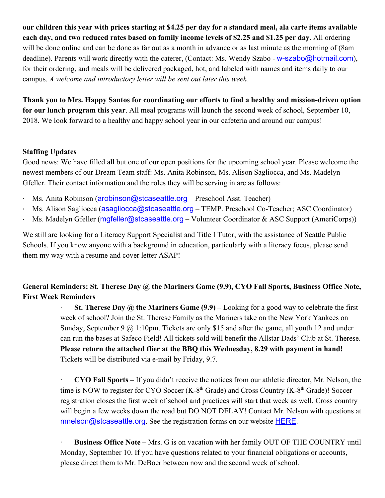**our children this year with prices starting at \$4.25 per day for a standard meal, ala carte items available each day, and two reduced rates based on family income levels of \$2.25 and \$1.25 per day**. All ordering will be done online and can be done as far out as a month in advance or as last minute as the morning of (8am deadline). Parents will work directly with the caterer, (Contact: Ms. Wendy Szabo - w-szabo@hotmail.com), for their ordering, and meals will be delivered packaged, hot, and labeled with names and items daily to our campus. *A welcome and introductory letter will be sent out later this week.*

**Thank you to Mrs. Happy Santos for coordinating our efforts to find a healthy and mission-driven option for our lunch program this year**. All meal programs will launch the second week of school, September 10, 2018. We look forward to a healthy and happy school year in our cafeteria and around our campus!

### **Staffing Updates**

Good news: We have filled all but one of our open positions for the upcoming school year. Please welcome the newest members of our Dream Team staff: Ms. Anita Robinson, Ms. Alison Sagliocca, and Ms. Madelyn Gfeller. Their contact information and the roles they will be serving in are as follows:

- Ms. Anita Robinson (arobinson@stcaseattle.org Preschool Asst. Teacher)
- · Ms. Alison Sagliocca (asagliocca@stcaseattle.org TEMP. Preschool Co-Teacher; ASC Coordinator)
- Ms. Madelyn Gfeller (mgfeller@stcaseattle.org Volunteer Coordinator & ASC Support (AmeriCorps))

We still are looking for a Literacy Support Specialist and Title I Tutor, with the assistance of Seattle Public Schools. If you know anyone with a background in education, particularly with a literacy focus, please send them my way with a resume and cover letter ASAP!

# **General Reminders: St. Therese Day @ the Mariners Game (9.9), CYO Fall Sports, Business Office Note, First Week Reminders**

· **St. Therese Day @ the Mariners Game (9.9) –** Looking for a good way to celebrate the first week of school? Join the St. Therese Family as the Mariners take on the New York Yankees on Sunday, September 9  $\omega$  1:10pm. Tickets are only \$15 and after the game, all youth 12 and under can run the bases at Safeco Field! All tickets sold will benefit the Allstar Dads' Club at St. Therese. **Please return the attached flier at the BBQ this Wednesday, 8.29 with payment in hand!** Tickets will be distributed via e-mail by Friday, 9.7.

· **CYO Fall Sports –** If you didn't receive the notices from our athletic director, Mr. Nelson, the time is NOW to register for CYO Soccer (K-8<sup>th</sup> Grade) and Cross Country (K-8<sup>th</sup> Grade)! Soccer registration closes the first week of school and practices will start that week as well. Cross country will begin a few weeks down the road but DO NOT DELAY! Contact Mr. Nelson with questions at mnelson@stcaseattle.org. See the registration forms on our website **[HERE](https://www.stcaseattle.org/athletics)**.

· **Business Office Note –** Mrs. G is on vacation with her family OUT OF THE COUNTRY until Monday, September 10. If you have questions related to your financial obligations or accounts, please direct them to Mr. DeBoer between now and the second week of school.